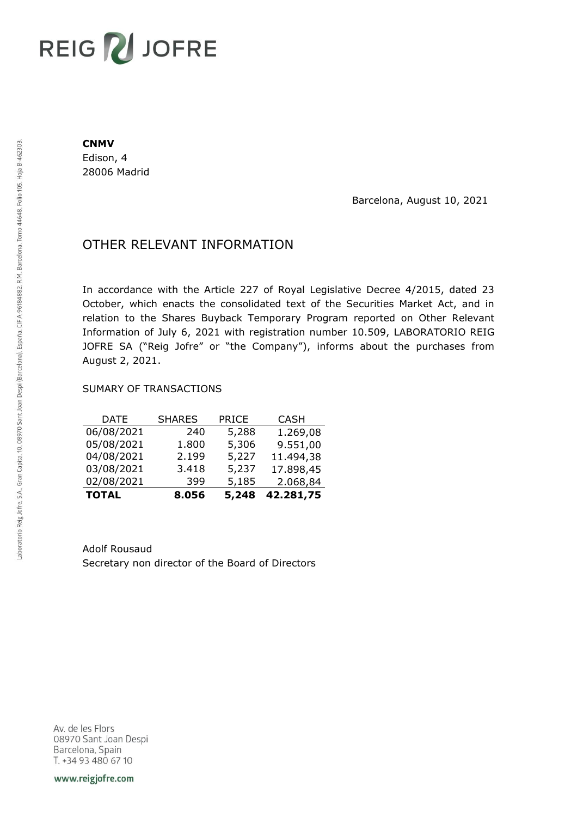# REIG V JOFRE

#### **CNMV**

Edison, 4 28006 Madrid

Barcelona, August 10, 2021

## OTHER RELEVANT INFORMATION

In accordance with the Article 227 of Royal Legislative Decree 4/2015, dated 23 October, which enacts the consolidated text of the Securities Market Act, and in relation to the Shares Buyback Temporary Program reported on Other Relevant Information of July 6, 2021 with registration number 10.509, LABORATORIO REIG JOFRE SA ("Reig Jofre" or "the Company"), informs about the purchases from August 2, 2021.

### SUMARY OF TRANSACTIONS

| <b>TOTAL</b> | 8.056         | 5,248        | 42.281,75   |
|--------------|---------------|--------------|-------------|
| 02/08/2021   | 399           | 5,185        | 2.068,84    |
| 03/08/2021   | 3.418         | 5,237        | 17.898,45   |
| 04/08/2021   | 2.199         | 5,227        | 11.494,38   |
| 05/08/2021   | 1.800         | 5,306        | 9.551,00    |
| 06/08/2021   | 240           | 5,288        | 1.269,08    |
| DATE         | <b>SHARES</b> | <b>PRICE</b> | <b>CASH</b> |

Adolf Rousaud Secretary non director of the Board of Directors

Av. de les Flors 08970 Sant Joan Despi Barcelona, Spain T. +34 93 480 67 10

www.reigjofre.com